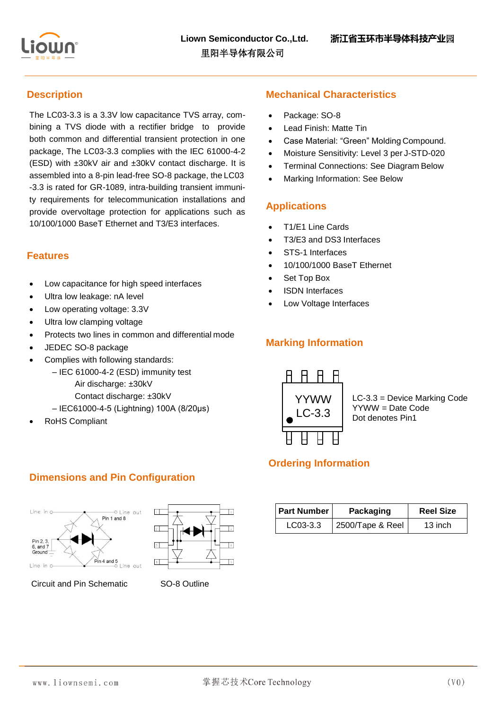

## **Description**

The LC03-3.3 is a 3.3V low capacitance TVS array, combining a TVS diode with a rectifier bridge to provide both common and differential transient protection in one package, The LC03-3.3 complies with the IEC 61000-4-2 (ESD) with ±30kV air and ±30kV contact discharge. It is assembled into a 8-pin lead-free SO-8 package, the LC03 -3.3 is rated for GR-1089, intra-building transient immunity requirements for telecommunication installations and provide overvoltage protection for applications such as 10/100/1000 BaseT Ethernet and T3/E3 interfaces.

#### **Features**

- Low capacitance for high speed interfaces
- Ultra low leakage: nA level
- Low operating voltage: 3.3V
- Ultra low clamping voltage
- Protects two lines in common and differential mode
- JEDEC SO-8 package
- Complies with following standards:
	- IEC 61000-4-2 (ESD) immunity test
		- Air discharge: ±30kV
		- Contact discharge: ±30kV
	- IEC61000-4-5 (Lightning) 100A (8/20μs)
- RoHS Compliant

#### **Mechanical Characteristics**

- Package: SO-8
- Lead Finish: Matte Tin
- Case Material: "Green" Molding Compound.
- Moisture Sensitivity: Level 3 per J-STD-020
- Terminal Connections: See Diagram Below
- Marking Information: See Below

#### **Applications**

- T1/E1 Line Cards
- T3/E3 and DS3 Interfaces
- STS-1 Interfaces
- 10/100/1000 BaseT Ethernet
- Set Top Box
- ISDN Interfaces
- Low Voltage Interfaces

## **Marking Information**



LC-3.3 = Device Marking Code YYWW = Date Code Dot denotes Pin1

## **Ordering Information**

| <b>Part Number</b> | Packaging        | <b>Reel Size</b> |
|--------------------|------------------|------------------|
| $LCO3-3.3$         | 2500/Tape & Reel | 13 inch          |

#### **Dimensions and Pin Configuration**





Circuit and Pin Schematic SO-8 Outline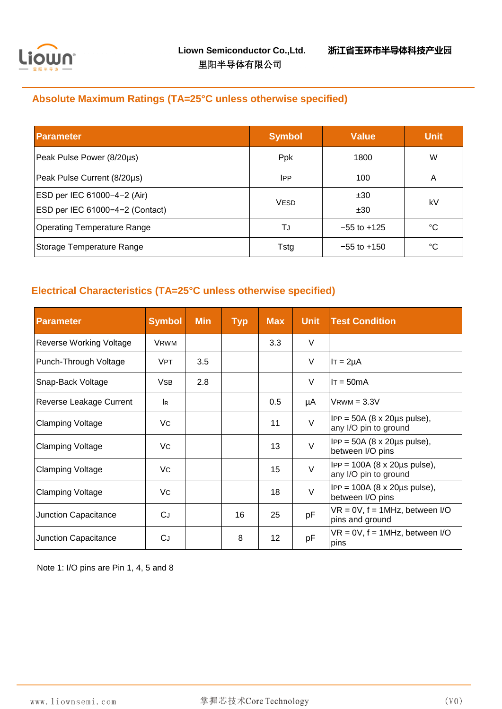

## **Absolute Maximum Ratings (TA=25°C unless otherwise specified)**

| <b>Parameter</b>                   | <b>Symbol</b> | <b>Value</b>    | <b>Unit</b> |
|------------------------------------|---------------|-----------------|-------------|
| Peak Pulse Power (8/20µs)          | Ppk           | 1800            | W           |
| Peak Pulse Current (8/20µs)        | IPP.          | 100             | A           |
| ESD per IEC 61000-4-2 (Air)        | <b>VESD</b>   | ±30             | kV          |
| ESD per IEC 61000-4-2 (Contact)    |               | ±30             |             |
| <b>Operating Temperature Range</b> | TJ            | $-55$ to $+125$ | °C          |
| Storage Temperature Range          | Tstg          | $-55$ to $+150$ | °C          |

## **Electrical Characteristics (TA=25°C unless otherwise specified)**

| <b>Parameter</b>               | <b>Symbol</b>         | <b>Min</b> | <b>Typ</b> | <b>Max</b> | <b>Unit</b> | <b>Test Condition</b>                                                    |
|--------------------------------|-----------------------|------------|------------|------------|-------------|--------------------------------------------------------------------------|
| <b>Reverse Working Voltage</b> | <b>VRWM</b>           |            |            | 3.3        | $\vee$      |                                                                          |
| Punch-Through Voltage          | <b>VPT</b>            | 3.5        |            |            | V           | $IT = 2\mu A$                                                            |
| Snap-Back Voltage              | <b>V<sub>SB</sub></b> | 2.8        |            |            | V           | $IT = 50mA$                                                              |
| Reverse Leakage Current        | <b>I</b> R            |            |            | 0.5        | μA          | $V$ RWM = $3.3V$                                                         |
| <b>Clamping Voltage</b>        | VC                    |            |            | 11         | V           | $IPP = 50A (8 \times 20 \mu s \text{ pulse})$ ,<br>any I/O pin to ground |
| <b>Clamping Voltage</b>        | Vc                    |            |            | 13         | $\vee$      | $IPP = 50A (8 \times 20 \mu s \text{ pulse})$ ,<br>between I/O pins      |
| <b>Clamping Voltage</b>        | Vc.                   |            |            | 15         | $\vee$      | $IPP = 100A (8 \times 20 \mu s pulse),$<br>any I/O pin to ground         |
| <b>Clamping Voltage</b>        | Vc                    |            |            | 18         | $\vee$      | $IPP = 100A (8 \times 20 \mu s \text{ pulse})$ ,<br>between I/O pins     |
| <b>Junction Capacitance</b>    | CJ                    |            | 16         | 25         | pF          | $VR = 0V$ , $f = 1MHz$ , between I/O<br>pins and ground                  |
| Junction Capacitance           | CJ                    |            | 8          | 12         | pF          | $VR = 0V$ , $f = 1MHz$ , between I/O<br>pins                             |

Note 1: I/O pins are Pin 1, 4, 5 and 8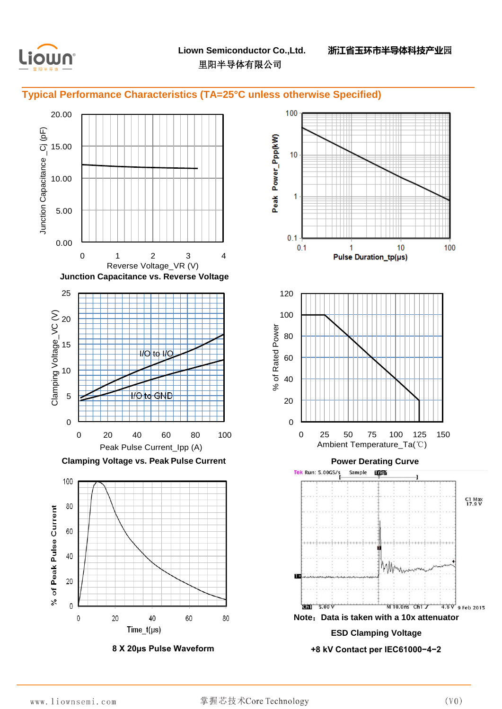

#### **Typical Performance Characteristics (TA=25°C unless otherwise Specified)**



**8 X 20μs Pulse Waveform**

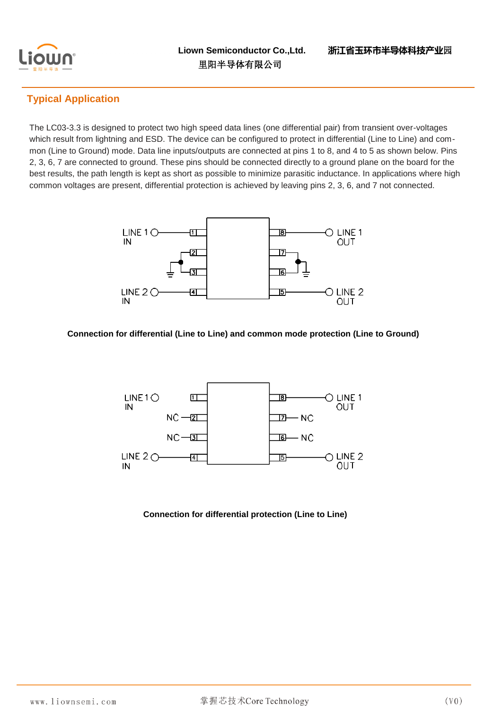

## **Typical Application**

The LC03-3.3 is designed to protect two high speed data lines (one differential pair) from transient over-voltages which result from lightning and ESD. The device can be configured to protect in differential (Line to Line) and common (Line to Ground) mode. Data line inputs/outputs are connected at pins 1 to 8, and 4 to 5 as shown below. Pins 2, 3, 6, 7 are connected to ground. These pins should be connected directly to a ground plane on the board for the best results, the path length is kept as short as possible to minimize parasitic inductance. In applications where high common voltages are present, differential protection is achieved by leaving pins 2, 3, 6, and 7 not connected.



#### **Connection for differential (Line to Line) and common mode protection (Line to Ground)**



#### **Connection for differential protection (Line to Line)**